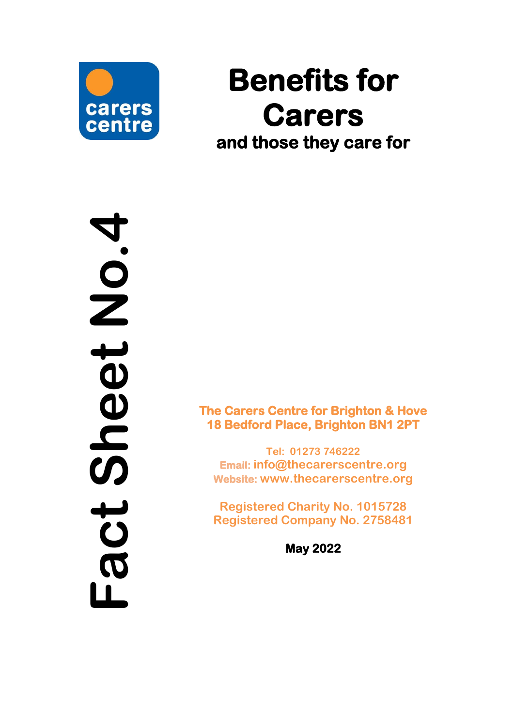

# **Benefits for Carers and those they care for**

**Fact Sheet No.4** 

**The Carers Centre for Brighton & Hove 18 Bedford Place, Brighton BN1 2PT** 

**Tel: 01273 746222 Email: [info@thecarerscentre.org](mailto:info@thecarerscentre.org) Website: [www.thecarerscentre.org](http://www.thecarerscentre.org/)**

**Registered Charity No. 1015728 Registered Company No. 2758481**

**May 20 2 2**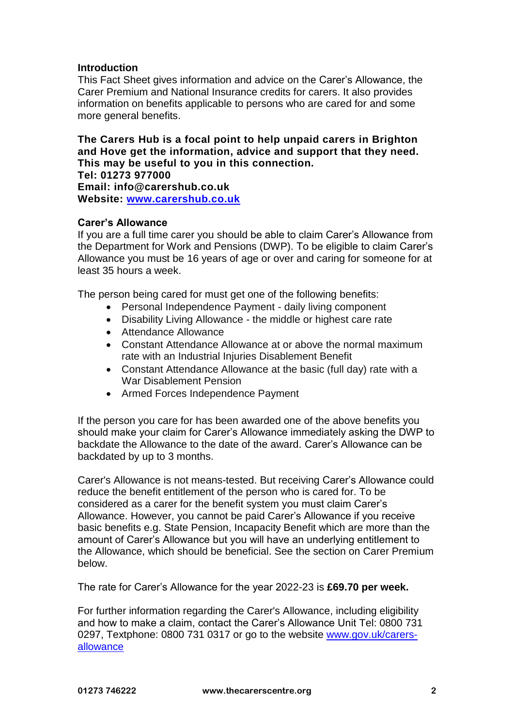# **Introduction**

This Fact Sheet gives information and advice on the Carer's Allowance, the Carer Premium and National Insurance credits for carers. It also provides information on benefits applicable to persons who are cared for and some more general benefits.

**The Carers Hub is a focal point to help unpaid carers in Brighton and Hove get the information, advice and support that they need. This may be useful to you in this connection.** 

**Tel: 01273 977000 Email: info@carershub.co.uk Website: [www.carershub.co.uk](http://www.carershub.co.uk/)**

# **Carer's Allowance**

If you are a full time carer you should be able to claim Carer's Allowance from the Department for Work and Pensions (DWP). To be eligible to claim Carer's Allowance you must be 16 years of age or over and caring for someone for at least 35 hours a week.

The person being cared for must get one of the following benefits:

- Personal Independence Payment daily living component
- Disability Living Allowance the middle or highest care rate
- Attendance Allowance
- Constant Attendance Allowance at or above the normal maximum rate with an Industrial Injuries Disablement Benefit
- Constant Attendance Allowance at the basic (full day) rate with a War Disablement Pension
- Armed Forces Independence Payment

If the person you care for has been awarded one of the above benefits you should make your claim for Carer's Allowance immediately asking the DWP to backdate the Allowance to the date of the award. Carer's Allowance can be backdated by up to 3 months.

Carer's Allowance is not means-tested. But receiving Carer's Allowance could reduce the benefit entitlement of the person who is cared for. To be considered as a carer for the benefit system you must claim Carer's Allowance. However, you cannot be paid Carer's Allowance if you receive basic benefits e.g. State Pension, Incapacity Benefit which are more than the amount of Carer's Allowance but you will have an underlying entitlement to the Allowance, which should be beneficial. See the section on Carer Premium below.

The rate for Carer's Allowance for the year 2022-23 is **£69.70 per week.**

For further information regarding the Carer's Allowance, including eligibility and how to make a claim, contact the Carer's Allowance Unit Tel: 0800 731 0297, Textphone: 0800 731 0317 or go to the website [www.gov.uk/carers](http://www.gov.uk/carers-allowance)[allowance](http://www.gov.uk/carers-allowance)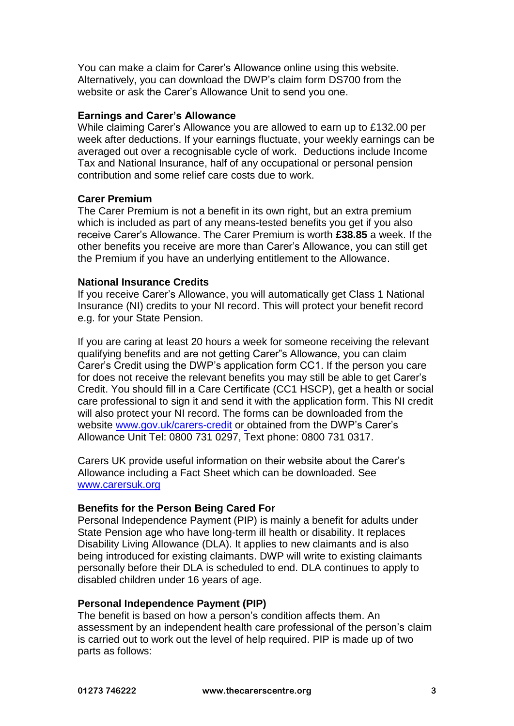You can make a claim for Carer's Allowance online using this website. Alternatively, you can download the DWP's claim form DS700 from the website or ask the Carer's Allowance Unit to send you one.

#### **Earnings and Carer's Allowance**

While claiming Carer's Allowance you are allowed to earn up to £132.00 per week after deductions. If your earnings fluctuate, your weekly earnings can be averaged out over a recognisable cycle of work. Deductions include Income Tax and National Insurance, half of any occupational or personal pension contribution and some relief care costs due to work.

#### **Carer Premium**

The Carer Premium is not a benefit in its own right, but an extra premium which is included as part of any means-tested benefits you get if you also receive Carer's Allowance. The Carer Premium is worth **£38.85** a week. If the other benefits you receive are more than Carer's Allowance, you can still get the Premium if you have an underlying entitlement to the Allowance.

#### **National Insurance Credits**

If you receive Carer's Allowance, you will automatically get Class 1 National Insurance (NI) credits to your NI record. This will protect your benefit record e.g. for your State Pension.

If you are caring at least 20 hours a week for someone receiving the relevant qualifying benefits and are not getting Carer"s Allowance, you can claim Carer's Credit using the DWP's application form CC1. If the person you care for does not receive the relevant benefits you may still be able to get Carer's Credit. You should fill in a Care Certificate (CC1 HSCP), get a health or social care professional to sign it and send it with the application form. This NI credit will also protect your NI record. The forms can be downloaded from the website [www.gov.uk/carers-credit](http://www.gov.uk/carers-credit) or obtained from the DWP's Carer's Allowance Unit Tel: 0800 731 0297, Text phone: 0800 731 0317.

Carers UK provide useful information on their website about the Carer's Allowance including a Fact Sheet which can be downloaded. See [www.carersuk.org](http://www.carersuk.org/)

#### **Benefits for the Person Being Cared For**

Personal Independence Payment (PIP) is mainly a benefit for adults under State Pension age who have long-term ill health or disability. It replaces Disability Living Allowance (DLA). It applies to new claimants and is also being introduced for existing claimants. DWP will write to existing claimants personally before their DLA is scheduled to end. DLA continues to apply to disabled children under 16 years of age.

#### **Personal Independence Payment (PIP)**

The benefit is based on how a person's condition affects them. An assessment by an independent health care professional of the person's claim is carried out to work out the level of help required. PIP is made up of two parts as follows: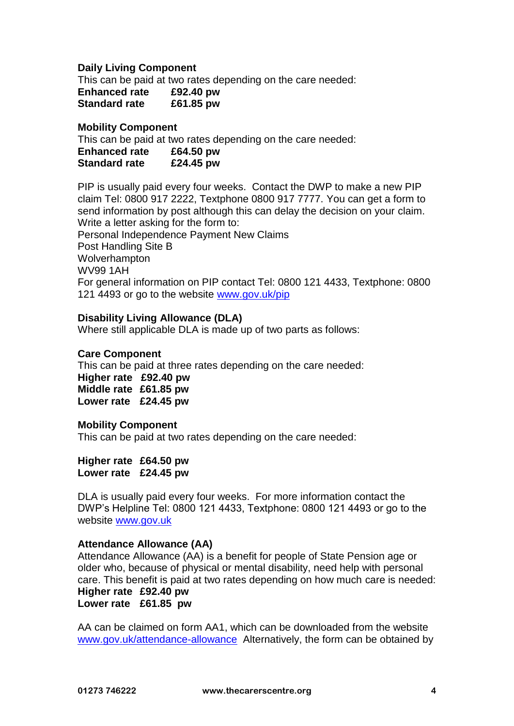### **Daily Living Component**

This can be paid at two rates depending on the care needed:

| <b>Enhanced rate</b> | £92.40 pw |
|----------------------|-----------|
| <b>Standard rate</b> | £61.85 pw |

#### **Mobility Component**

This can be paid at two rates depending on the care needed:

| <b>Enhanced rate</b> | £64.50 pw |  |
|----------------------|-----------|--|
| <b>Standard rate</b> | £24.45 pw |  |

PIP is usually paid every four weeks. Contact the DWP to make a new PIP claim Tel: 0800 917 2222, Textphone 0800 917 7777. You can get a form to send information by post although this can delay the decision on your claim. Write a letter asking for the form to:

Personal Independence Payment New Claims Post Handling Site B Wolverhampton WV99 1AH For general information on PIP contact Tel: 0800 121 4433, Textphone: 0800 121 4493 or go to the website [www.gov.uk/pip](http://www.gov.uk/pip)

# **Disability Living Allowance (DLA)**

Where still applicable DLA is made up of two parts as follows:

#### **Care Component**

This can be paid at three rates depending on the care needed:

**Higher rate £92.40 pw Middle rate £61.85 pw Lower rate £24.45 pw**

#### **Mobility Component**

This can be paid at two rates depending on the care needed:

**Higher rate £64.50 pw Lower rate £24.45 pw**

DLA is usually paid every four weeks. For more information contact the DWP's Helpline Tel: 0800 121 4433, Textphone: 0800 121 4493 or go to the website [www.gov.uk](http://www.gov.uk/)

#### **Attendance Allowance (AA)**

Attendance Allowance (AA) is a benefit for people of State Pension age or older who, because of physical or mental disability, need help with personal care. This benefit is paid at two rates depending on how much care is needed:

**Higher rate £92.40 pw Lower rate £61.85 pw**

AA can be claimed on form AA1, which can be downloaded from the website [www.gov.uk/attendance-allowance](http://www.gov.uk/attendance-allowance) Alternatively, the form can be obtained by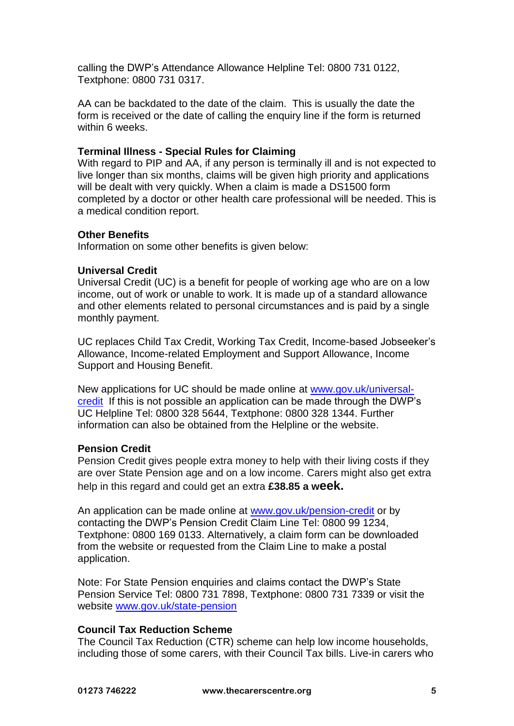calling the DWP's Attendance Allowance Helpline Tel: 0800 731 0122, Textphone: 0800 731 0317.

AA can be backdated to the date of the claim. This is usually the date the form is received or the date of calling the enquiry line if the form is returned within 6 weeks.

### **Terminal Illness - Special Rules for Claiming**

With regard to PIP and AA, if any person is terminally ill and is not expected to live longer than six months, claims will be given high priority and applications will be dealt with very quickly. When a claim is made a DS1500 form completed by a doctor or other health care professional will be needed. This is a medical condition report.

#### **Other Benefits**

Information on some other benefits is given below:

#### **Universal Credit**

Universal Credit (UC) is a benefit for people of working age who are on a low income, out of work or unable to work. It is made up of a standard allowance and other elements related to personal circumstances and is paid by a single monthly payment.

UC replaces Child Tax Credit, Working Tax Credit, Income-based Jobseeker's Allowance, Income-related Employment and Support Allowance, Income Support and Housing Benefit.

New applications for UC should be made online at [www.gov.uk/universal](http://www.gov.uk/universal-credit)[credit](http://www.gov.uk/universal-credit) If this is not possible an application can be made through the DWP's UC Helpline Tel: 0800 328 5644, Textphone: 0800 328 1344. Further information can also be obtained from the Helpline or the website.

#### **Pension Credit**

Pension Credit gives people extra money to help with their living costs if they are over State Pension age and on a low income. Carers might also get extra help in this regard and could get an extra **£38.85 a week.**

An application can be made online at [www.gov.uk/pension-credit](http://www.gov.uk/pension-credit) or by contacting the DWP's Pension Credit Claim Line Tel: 0800 99 1234, Textphone: 0800 169 0133. Alternatively, a claim form can be downloaded from the website or requested from the Claim Line to make a postal application.

Note: For State Pension enquiries and claims contact the DWP's State Pension Service Tel: 0800 731 7898, Textphone: 0800 731 7339 or visit the website [www.gov.uk/state-pension](http://www.gov.uk/state-pension)

# **Council Tax Reduction Scheme**

The Council Tax Reduction (CTR) scheme can help low income households, including those of some carers, with their Council Tax bills. Live-in carers who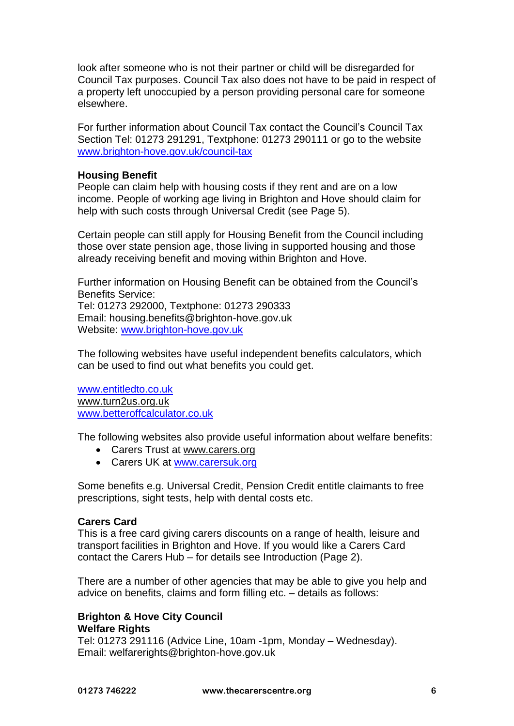look after someone who is not their partner or child will be disregarded for Council Tax purposes. Council Tax also does not have to be paid in respect of a property left unoccupied by a person providing personal care for someone elsewhere.

For further information about Council Tax contact the Council's Council Tax Section Tel: 01273 291291, Textphone: 01273 290111 or go to the website [www.brighton-hove.gov.uk/](http://www.brighton-hove.gov.uk/)council-tax

# **Housing Benefit**

People can claim help with housing costs if they rent and are on a low income. People of working age living in Brighton and Hove should claim for help with such costs through Universal Credit (see Page 5).

Certain people can still apply for Housing Benefit from the Council including those over state pension age, those living in supported housing and those already receiving benefit and moving within Brighton and Hove.

Further information on Housing Benefit can be obtained from the Council's Benefits Service: Tel: 01273 292000, Textphone: 01273 290333 Email: housing.benefits@brighton-hove.gov.uk Website: [www.brighton-hove.gov.uk](http://www.brighton-hove.gov.uk/)

The following websites have useful independent benefits calculators, which can be used to find out what benefits you could get.

[www.entitledto.co.uk](http://www.entitledto.co.uk/) [www.turn2us.org.uk](http://www.turn2us.org.uk/) [www.betteroffcalculator.co.uk](http://www.betteroffcalculator.co.uk/)

The following websites also provide useful information about welfare benefits:

- Carers Trust at [www.carers.org](http://www.carers.org/)
- Carers UK at [www.carersuk.org](http://www.carersuk.org/)

Some benefits e.g. Universal Credit, Pension Credit entitle claimants to free prescriptions, sight tests, help with dental costs etc.

#### **Carers Card**

This is a free card giving carers discounts on a range of health, leisure and transport facilities in Brighton and Hove. If you would like a Carers Card contact the Carers Hub – for details see Introduction (Page 2).

There are a number of other agencies that may be able to give you help and advice on benefits, claims and form filling etc. – details as follows:

# **Brighton & Hove City Council Welfare Rights**

Tel: 01273 291116 (Advice Line, 10am -1pm, Monday – Wednesday). Email: welfarerights@brighton-hove.gov.uk